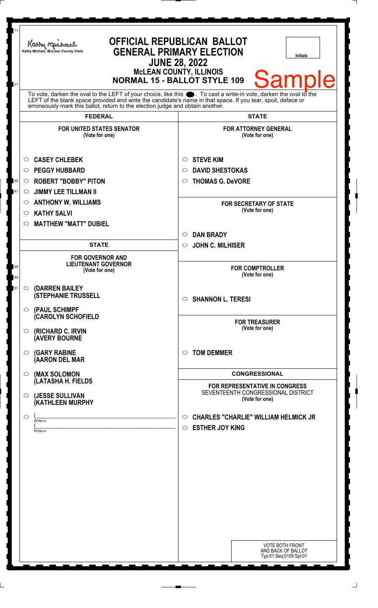| 11       | Kathy Michael<br>Kathy Michael, McLean County Clerk                                                                                                                                            | <b>OFFICIAL REPUBLICAN BALLOT</b><br><b>GENERAL PRIMARY ELECTION</b><br><b>Initials</b><br><b>JUNE 28, 2022</b><br><b>MCLEAN COUNTY, ILLINOIS</b> |  |
|----------|------------------------------------------------------------------------------------------------------------------------------------------------------------------------------------------------|---------------------------------------------------------------------------------------------------------------------------------------------------|--|
| 21       | <b>Sample</b><br><b>NORMAL 15 - BALLOT STYLE 109</b><br>To vote, darken the oval to the LEFT of your choice, like this $\bullet$ . To cast a write-in vote, darken the oval to the             |                                                                                                                                                   |  |
|          | LEFT of the blank space provided and write the candidate's name in that space. If you tear, spoil, deface or<br>erroneously mark this ballot, return to the election judge and obtain another. |                                                                                                                                                   |  |
|          | <b>FEDERAL</b>                                                                                                                                                                                 | <b>STATE</b>                                                                                                                                      |  |
|          | <b>FOR UNITED STATES SENATOR</b><br>(Vote for one)                                                                                                                                             | <b>FOR ATTORNEY GENERAL</b><br>(Vote for one)                                                                                                     |  |
|          | <b>CASEY CHLEBEK</b><br>$\circlearrowright$                                                                                                                                                    | <b>STEVE KIM</b><br>O                                                                                                                             |  |
|          | <b>PEGGY HUBBARD</b><br>$\circlearrowright$                                                                                                                                                    | <b>DAVID SHESTOKAS</b><br>O                                                                                                                       |  |
| 40       | <b>ROBERT "BOBBY" PITON</b><br>$\circ$                                                                                                                                                         | <b>THOMAS G. DeVORE</b><br>$\circ$                                                                                                                |  |
| 41       | <b>JIMMY LEE TILLMAN II</b><br>$\circ$                                                                                                                                                         |                                                                                                                                                   |  |
|          | <b>ANTHONY W. WILLIAMS</b><br>$\circ$                                                                                                                                                          | <b>FOR SECRETARY OF STATE</b>                                                                                                                     |  |
|          | <b>KATHY SALVI</b><br>$\circ$                                                                                                                                                                  | (Vote for one)                                                                                                                                    |  |
|          | <b>MATTHEW "MATT" DUBIEL</b><br>O                                                                                                                                                              |                                                                                                                                                   |  |
|          |                                                                                                                                                                                                | <b>DAN BRADY</b><br>$\circ$                                                                                                                       |  |
|          | <b>STATE</b>                                                                                                                                                                                   | <b>JOHN C. MILHISER</b><br>$\circ$                                                                                                                |  |
|          |                                                                                                                                                                                                |                                                                                                                                                   |  |
| 48<br>49 | <b>FOR GOVERNOR AND</b><br><b>LIEUTENANT GOVERNOR</b><br>(Vote for one)                                                                                                                        | <b>FOR COMPTROLLER</b><br>(Vote for one)                                                                                                          |  |
| 51       | $\circ$                                                                                                                                                                                        |                                                                                                                                                   |  |
|          | (DARREN BAILEY<br><b>(STEPHANIE TRUSSELL</b>                                                                                                                                                   | <b>SHANNON L. TERESI</b><br>$\circ$                                                                                                               |  |
|          | (PAUL SCHIMPF<br>$\circ$<br>(CAROLYN SCHOFIELD                                                                                                                                                 | <b>FOR TREASURER</b>                                                                                                                              |  |
|          | (RICHARD C. IRVIN<br>$\circ$<br><b>(AVERY BOURNE</b>                                                                                                                                           | (Vote for one)                                                                                                                                    |  |
|          | <b>(GARY RABINE</b><br>$\circ$<br>(AARON DEL MAR                                                                                                                                               | <b>TOM DEMMER</b><br>$\circ$                                                                                                                      |  |
|          | (MAX SOLOMON<br>$\circ$<br>(LATASHA H. FIELDS                                                                                                                                                  | <b>CONGRESSIONAL</b><br><b>FOR REPRESENTATIVE IN CONGRESS</b>                                                                                     |  |
|          | (JESSE SULLIVAN<br>$\circ$<br>(KATHLEEN MURPHY                                                                                                                                                 | SEVENTEENTH CONGRESSIONAL DISTRICT<br>(Vote for one)                                                                                              |  |
|          | $\bigcirc$                                                                                                                                                                                     | <b>CHARLES "CHARLIE" WILLIAM HELMICK JR</b><br>$\circ$                                                                                            |  |
|          | Write-in                                                                                                                                                                                       | <b>ESTHER JOY KING</b><br>$\circ$                                                                                                                 |  |
|          | Write-in                                                                                                                                                                                       |                                                                                                                                                   |  |
|          |                                                                                                                                                                                                |                                                                                                                                                   |  |
|          |                                                                                                                                                                                                |                                                                                                                                                   |  |
|          |                                                                                                                                                                                                |                                                                                                                                                   |  |
|          |                                                                                                                                                                                                |                                                                                                                                                   |  |
|          |                                                                                                                                                                                                |                                                                                                                                                   |  |
|          |                                                                                                                                                                                                |                                                                                                                                                   |  |
|          |                                                                                                                                                                                                |                                                                                                                                                   |  |
|          |                                                                                                                                                                                                |                                                                                                                                                   |  |
|          |                                                                                                                                                                                                |                                                                                                                                                   |  |
|          |                                                                                                                                                                                                |                                                                                                                                                   |  |
|          |                                                                                                                                                                                                | <b>VOTE BOTH FRONT</b><br>AND BACK OF BALLOT<br>Typ:01 Seq:0109 Spl:01                                                                            |  |